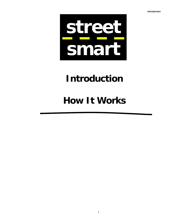*Introduction* 



# **Introduction**

# **How It Works**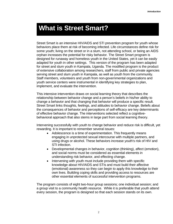## **What is Street Smart?**

Street Smart is an intensive HIV/AIDS and STI prevention program for youth whose behaviors place them at risk of becoming infected. Life circumstances define risk for some youth; living on the street or in a slum, not attending school, or being an AIDS orphan increases the potential for risky behavior. The Street Smart program is designed for runaway and homeless youth in the United States, yet it can be easily adapted for youth in other settings. This version of the program has been adapted for street and slum youth in Kampala, Uganda. The modified program is the product of extensive collaboration among researchers, staff from public and private agencies serving street and slum youth in Kampala, as well as youth from the community. Staff members, volunteers and youth from non-governmental organizations and youth service centers were instrumental in identifying key strategies to plan, implement, and evaluate the intervention.

This intensive intervention draws on social learning theory that describes the relationship between behavior change and a person's beliefs in his/her ability to change a behavior and that changing that behavior will produce a specific result. Street Smart links thoughts, feelings, and attitudes to behavior change. Beliefs about the consequences of behavior and perceptions of self-efficacy are key determinants of effective behavior change. The interventions selected reflect a cognitivebehavioral approach that also stems in large part from social learning theory.

Intervening successfully with youth to change behavior and reduce risk is difficult, yet rewarding. It is important to remember several issues:

- Adolescence is a time of experimentation. This frequently means engaging in unprotected sexual intercourse with multiple partners, and using drugs or alcohol. These behaviors increase youth's risk of HIV and STI infection.
- Developmental changes in behavior, cognition (thinking), affect (emotion), and social norms must be considered as essential elements in understanding risk behavior, and effecting change.
- Intervening with youth must include providing them with specific knowledge about HIV/AIDS and STIs and must build their affective (emotional) awareness so they can begin to apply this knowledge to their own lives. Building coping skills and providing access to resources are other essential elements of successful intervention programs.

The program consists of eight two-hour group sessions; one individual session; and a group visit to a community health resource. While it is preferable that youth attend every session, the program is designed so that each session stands on its own.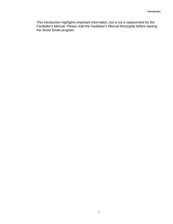This introduction highlights important information, but is not a replacement for the Facilitator's Manual. Please read the Facilitator's Manual thoroughly before starting the Street Smart program.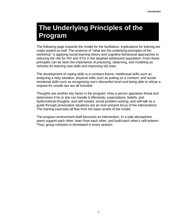# **The Underlying Principles of the Program**

The following page expands the model for the facilitators. Implications for training are made explicit as well. The essence of "what are the underlying principles of the workshop" is applying social learning theory and cognitive-behavioral approaches to reducing the risk for HIV and STIs in the targeted adolescent population. From these principles can be seen the importance of practicing, observing, and modeling as vehicles for learning new skills and improving old ones.

The development of coping skills is a constant theme. Intellectual skills such as analyzing a risky situation, physical skills such as putting on a condom, and socialemotional skills such as recognizing one's discomfort level and being able to refuse a request for unsafe sex are all included.

Thoughts are another key factor in the program. How a person appraises threat and determines if he or she can handle it effectively; expectations, beliefs, and dysfunctional thoughts; and self-reward, social problem-solving, and self-talk as a guide through provocative situations are an ever-present focus of the interventions. The training exercises all flow from the basic tenets of the model.

The program environment itself becomes an intervention. In a safe atmosphere peers support each other, learn from each other, and build each other's self-esteem. Thus, group cohesion is developed in every session.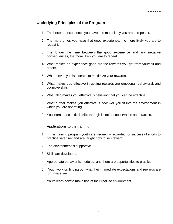#### **Underlying Principles of the Program**

- 1. The better an experience you have, the more likely you are to repeat it.
- 2. The more times you have that good experience, the more likely you are to repeat it.
- 3. The longer the time between the good experience and any negative consequences, the more likely you are to repeat it.
- 4. What makes an experience good are the rewards you get from yourself and others.
- 5. What moves you is a desire to maximize your rewards.
- 6. What makes you effective in getting rewards are emotional, behavioral, and cognitive skills.
- 7. What also makes you effective is believing that you can be effective.
- 8. What further makes you effective is how well you fit into the environment in which you are operating.
- 9. You learn those critical skills through imitation, observation and practice.

#### **Applications to the training**

- 1. In this training program youth are frequently rewarded for successful efforts to practice safer sex and are taught how to self-reward.
- 2. The environment is supportive.
- 3. Skills are developed.
- 4. Appropriate behavior is modeled, and there are opportunities to practice.
- 5. Youth work on finding out what their immediate expectations and rewards are for unsafe sex.
- 6. Youth learn how to make use of their real-life environment.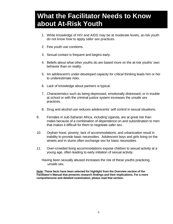#### *Introduction*  **What the Facilitator Needs to Know about At-Risk Youth**

- 1. While knowledge of HIV and AIDS may be at moderate levels, at-risk youth do not know how to apply safer sex practices.
- 2. Few youth use condoms.
- 3. Sexual contact is frequent and begins early.
- 4. Beliefs about what other youths do are based more on the at-risk youths' own behavior than on reality.
- 5. An adolescent's under-developed capacity for critical thinking leads him or her to underestimate risks.
- 6. Lack of knowledge about partners is typical.
- 7. Characteristics such as being depressed, emotionally distressed, or in trouble at school or with the criminal justice system increases the unsafe sex practices.
- 8. Drug and alcohol use reduces adolescents' self control in sexual situations.
- 9. Females in sub-Saharan Africa, including Uganda, are at great risk than males because of a combination of dependence on and subordination to men that makes it difficult for them to negotiate safer sex.
- 10. Orphan hood, poverty, lack of accommodations, and urbanization result in inability to provide basic necessities. Adolescent boys and girls living on the streets and in slums often exchange sex for basic necessities.
- 11. Over-crowded living accommodations expose children to sexual activity at a young age, often leading to early initiation of sexual activity.

Having been sexually abused increases the risk of these youths practicing unsafe sex.

**Note: These facts have been selected for highlight from the Overview section of the Facilitator's Manual that presents research findings and their implications. For a more comprehensive and detailed examination, please read that section.**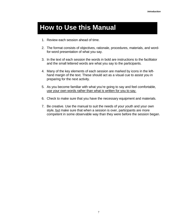## **How to Use this Manual**

- 1. Review each session ahead of time.
- 2. The format consists of objectives, rationale, procedures, materials, and wordfor-word presentation of what you say.
- 3. In the text of each session the words in bold are instructions to the facilitator and the small lettered words are what you say to the participants.
- 4. Many of the key elements of each session are marked by icons in the lefthand margin of the text. These should act as a visual cue to assist you in preparing for the next activity.
- 5. As you become familiar with what you're going to say and feel comfortable, use your own words rather than what is written for you to say.
- 6. Check to make sure that you have the necessary equipment and materials.
- 7. Be creative. Use the manual to suit the needs of your youth and your own style, but make sure that when a session is over, participants are more competent in some observable way than they were before the session began.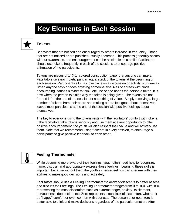# **Key Elements in Each Session**



#### **Tokens**

Behaviors that are noticed and encouraged by others increase in frequency. Those that are not noticed or are punished usually decrease. This process generally occurs without awareness, and encouragement can be as simple as a smile. Facilitators should use tokens frequently in each of the sessions to encourage positive affirmation of the participants.

Tokens are pieces of 1" X 1" colored construction paper that anyone can make. Facilitators give each participant an equal stack of the tokens at the beginning of each session. Participants sit in a close circle as a discussion or activity is underway. When anyone says or does anything someone else likes or agrees with, finds encouraging, causes him/her to think, etc., he or she hands the person a token. It is best when the person explains why the token is being given. The tokens are not "turned in" at the end of the session for something of value. Simply receiving a large number of tokens from their peers and making others feel good about themselves leaves most participants at the end of the session with positive feelings about themselves.

The key to everyone using the tokens rests with the facilitators' comfort with tokens. If the facilitators take tokens seriously and use them at every opportunity to offer positive encouragement, the youth will also respect their value and will actively use them. Note that we recommend using "tokens" in every session, to encourage all participants to give positive feedback to each other.



#### **Feeling Thermometer**

While becoming more aware of their feelings, youth often need help to recognize, name, discuss, and appropriately express those feelings. Learning these skills is important because without them the youth's intense feelings can interfere with their abilities to make good decisions and act safely.

Facilitators should use a Feeling Thermometer to allow adolescents to better assess and discuss their feelings. The Feeling Thermometer ranges from 0 to 100, with 100 representing the most discomfort: such as extreme anger, anxiety, excitement, nervousness, depression, etc. Zero represents a total lack of discomfort, whether it be "happy" comfort or even comfort with sadness. The person at or near zero is better able to think and make decisions regardless of the particular emotion. After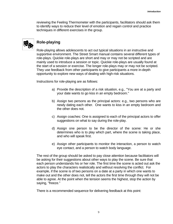reviewing the Feeling Thermometer with the participants, facilitators should ask them to identify ways to reduce their level of emotion and regain control and practice techniques in different exercises in the group.



#### **Role-playing**

Role-playing allows adolescents to act out typical situations in an instructive and supportive environment. The Street Smart manual contains several different types of role-plays. Quickie role-plays are short and may or may not be scripted and are mainly used to introduce a session or topic. Quickie role-plays are usually found at the start of a session or exercise. The longer role-plays may or may not be scripted. They use feedback from other participants to give participants a more in-depth opportunity to explore new ways of dealing with high-risk situations.

Instructions for role-playing are as follows:

- a) Provide the description of a risk situation, e.g., "You are at a party and your date wants to go kiss in an empty bedroom."
- b) Assign two persons as the principal actors: e.g., two persons who are newly dating each other. One wants to kiss in an empty bedroom and the other does not.
- c) Assign coaches: One is assigned to each of the principal actors to offer suggestions on what to say during the role-play.
- d) Assign one person to be the director of the scene: He or she determines who is to play which part, where the scene is taking place, and who will speak first.
- e) Assign other participants to monitor the interaction, a person to watch eye contact, and a person to watch body language.

The rest of the group should be asked to pay close attention because facilitators will be asking for their suggestions about other ways to play the scene. Be sure that each person understands his or her role. The first time the scene is acted out ask the actors to play the characters realistically and without resolving the conflict. For example, if the scene is of two persons on a date at a party in which one wants to make out and the other does not, tell the actors the first time through they will not be able to agree. At the point when the tension seems the highest, stop the action by saying, "freeze."

There is a recommended sequence for delivering feedback at this point: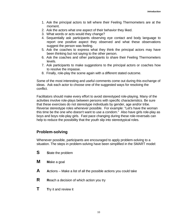- 1. Ask the principal actors to tell where their Feeling Thermometers are at the moment.
- 2. Ask the actors what one aspect of their behavior they liked.
- 3. What words or acts would they change?
- 4. Sequentially ask participants observing eye contact and body language to report one positive aspect they observed and what these observations suggest the person was feeling.
- 5. Ask the coaches to express what they think the principal actors may have been thinking but not saying to the other person.
- 6. Ask the coaches and other participants to share their Feeling Thermometers levels.
- 7. Ask participants to make suggestions to the principal actors or coaches how to resolve the impasse.
- 8. Finally, role-play the scene again with a different stated outcome.

Some of the most interesting and useful comments come out during this exchange of ideas. Ask each actor to choose one of the suggested ways for resolving the conflict.

Facilitators should make every effort to avoid stereotyped role-playing. Many of the activities involve role-plays between persons with specific characteristics. Be sure that these exercises do not stereotype individuals by gender, age and/or tribe. Reverse stereotype roles whenever possible. For example: "Let's have the woman this time be the one who doesn't want to use a condom." Also have girls role-play as boys and boys role-play girls. Fast pace changing during these role-reversals can help to reduce the possibility that the youth slip into stereotypical roles.

#### **Problem-solving**

Whenever possible, participants are encouraged to apply problem-solving to a situation. The steps in problem-solving have been simplified in the SMART model:

- **S S**tate the problem
- **M** Make a goal
- **A** Actions Make a list of all the possible actions you could take
- **R** Reach a decision of which action you try
- **T** Try it and review it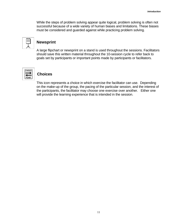While the steps of problem solving appear quite logical, problem solving is often not successful because of a wide variety of human biases and limitations. These biases must be considered and guarded against while practicing problem solving.



#### **Newsprint**

A large flipchart or newsprint on a stand is used throughout the sessions. Facilitators should save this written material throughout the 10-session cycle to refer back to goals set by participants or important points made by participants or facilitators.



#### **Choices**

This icon represents a choice in which exercise the facilitator can use. Depending on the make-up of the group, the pacing of the particular session, and the interest of the participants, the facilitator may choose one exercise over another. Either one will provide the learning experience that is intended in the session.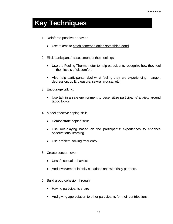# **Key Techniques**

- 1. Reinforce positive behavior.
	- Use tokens to catch someone doing something good.
- 2. Elicit participants' assessment of their feelings.
	- Use the Feeling Thermometer to help participants recognize how they feel — their levels of discomfort.
	- Also help participants label what feeling they are experiencing —anger, depression, guilt, pleasure, sexual arousal, etc.
- 3. Encourage talking.
	- Use talk in a safe environment to desensitize participants' anxiety around taboo topics.
- 4. Model effective coping skills.
	- Demonstrate coping skills.
	- Use role-playing based on the participants' experiences to enhance observational learning.
	- Use problem solving frequently.
- 5. Create concern over:
	- Unsafe sexual behaviors
	- And involvement in risky situations and with risky partners.
- 6. Build group cohesion through:
	- Having participants share
	- And giving appreciation to other participants for their contributions.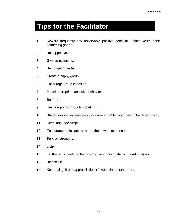# **Tips for the Facilitator**

- 1. Reward frequently any observable positive behavior—"catch youth doing something good!"
- 2. Be supportive.
- 3. Give compliments.
- 4. Be non-judgmental.
- 5. Create a happy group.
- 6. Encourage group cohesion.
- 7. Model appropriate assertive behavior.
- 8. Be firm.
- 9. Illustrate points through modeling.
- 10. Share personal experiences (not current problems you might be dealing with).
- 11. Keep language simple.
- 12. Encourage participants to share their own experiences.
- 13. Build on strengths.
- 14. Listen.
- 15. Let the participants do the reacting, responding, thinking, and analyzing.
- 16. Be flexible.
- 17. Keep trying. If one approach doesn't work, find another one.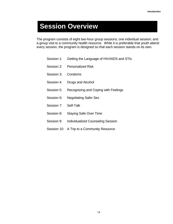# **Session Overview**

The program consists of eight two-hour group sessions; one individual session; and a group visit to a community health resource. While it is preferable that youth attend every session, the program is designed so that each session stands on its own.

- Session 1: Getting the Language of HIV/AIDS and STIs
- Session 2: Personalized Risk
- Session 3: Condoms
- Session 4: Drugs and Alcohol
- Session 5: Recognizing and Coping with Feelings
- Session 6: Negotiating Safer Sex
- Session 7: Self-Talk
- Session 8: Staying Safe Over Time
- Session 9: Individualized Counseling Session
- Session 10: A Trip to a Community Resource